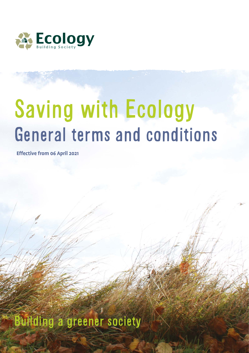

# General terms and conditions Saving with Ecology

**Effective from 06 April 2021**

Building a greener society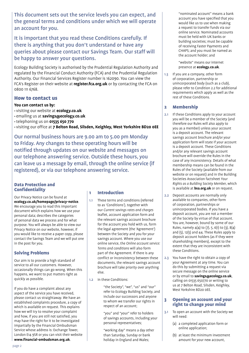This document sets out the service levels you can expect, and the general terms and conditions under which we will operate an account for you.

It is important that you read these Conditions carefully. If there is anything that you don't understand or have any queries about please contact our Savings Team. Our staff will be happy to answer your questions.

Ecology Building Society is authorised by the Prudential Regulation Authority and regulated by the Financial Conduct Authority (FCA) and the Prudential Regulation Authority. Our Financial Services Register number is 162090. You can view the FCA's Register on their website at **register.fca.org.uk** or by contacting the FCA on 0800 111 6768.

#### How to contact us

#### **You can contact us by:**

- visiting our website at **ecology.co.uk**
- emailing us at **savings@ecology.co.uk**
- telephoning us on **01535 650 770**

• visiting our office at **7 Belton Road, Silsden, Keighley, West Yorkshire BD20 0EE**

Our normal business hours are 9.00 am to 5.00 pm Monday to Friday. Any changes to these operating hours will be notified through updates on our website and messages on our telephone answering service. Outside these hours, you can leave us a message by email, through the online service (if registered), or via our telephone answering service.

#### Data Protection and Confidentiality

Our Privacy Notice can be found at **ecology.co.uk/homepage/privacy-notice**. We encourage you to read this important document which explains how we use your personal data; describes the categories of personal data we process and for what purpose. You will always be able to view our Privacy Notice on our website, however, if you would like to receive a paper copy, please contact the Savings Team and we will put one in the post for you.

### Solving Problems

Our aim is to provide a high standard of service to all our customers. However, occasionally things can go wrong. When this happens, we want to put matters right as quickly as possible.

If you do have a complaint about any aspect of the service you have received, please contact us straightaway. We have an established complaints procedure, a copy of which is available on request. This explains how we will try to resolve your complaint and how, if you are still not satisfied, you may have the right for it to be investigated impartially by the Financial Ombudsman Service whose address is: Exchange Tower, London E14 9SR or you can visit their website **www.financial-ombudsman.org.uk**.

#### 1 Introduction

- 1.1 These terms and conditions (referred to as 'Conditions'), together with our *Current savings rates and charges* leaflet, account application form and the relevant savings account brochure for the account you hold with us, form the legal agreement (the 'Agreement') between the Society and you for your savings account. Where you use our online service, the *Online account service: Terms and conditions* will also form part of the Agreement. If there is any conflict or inconsistency between these documents, the relevant savings account brochure will take priority over anything else.
- 1.2 In these Conditions:

 "the Society", "we", "us" and "our" refer to Ecology Building Society, and include our successors and anyone to whom we transfer our rights in respect of an account;

 "you" and "your" refer to holders of savings accounts, including your personal representatives;

 "working day" means a day other than Saturday, Sunday or bank holiday in England and Wales;

 "nominated account" means a bank account you have specified that you would like us to use when making a request to transfer funds via our online service. Nominated accounts must be held with UK banks or building societies; must be capable of receiving Faster Payments and CHAPS; and you must be named as the account holder; and

 "website" means our internet presence at **ecology.co.uk**.

1.3 If you are a company, other form of corporation, partnership or unincorporated body (such as a club), please refer to Condition 2.2 for additional requirements which apply as well as the rest of these Conditions.

#### 2 Membership

- 2.1 If these Conditions apply to your account you will be a member of the Society (and therefore our Rules will also apply to you as a member) unless your account is a deposit account. The relevant savings account brochure and/or your application form will state if your account is a deposit account. These Conditions and/or any relevant savings account brochure will override the Rules in the case of any inconsistency. Details of what membership means can be found in the Rules of the Society (available from our website or on request) and in the Building Societies Association factsheet *Your Rights as a Building Society Member,* which is available at **bsa.org.uk** or on request.
- 2.2 Deposit accounts are normally only available to companies, other form of corporation, partnerships or unincorporated bodies. If you have a deposit account, you are not a member of the Society by virtue of that account. You are, however, bound by some of our Rules, namely 4(4) to (7), 5, 6(1) to (3), 8(4) and (5), 12(5) and 44. These Rules apply to deposit account holders (as if they were shareholding members), except to the extent that they are inconsistent with these Conditions.
- 2.3 You have the right to obtain a copy of your Agreement at any time. You can do this by submitting a request via secure message on the online service or by email to **savings@ecology.co.uk**, calling on 01535 650770 or writing to us at 7 Belton Road, Silsden, Keighley, West Yorkshire BD20 0EE.

#### 3 Opening an account and your right to change your mind

- 3.1 To open an account with the Society we will need:
	- (a) a completed application form or online application;
	- (b) at least the minimum investment amount for your new account,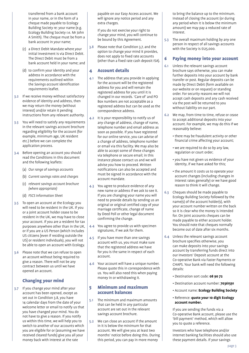transferred from a bank account in your name, or in the form of a cheque made payable to Ecology Building Society re: your name (e.g. Ecology Building Society r.e. Mr John A Smith). The cheque must be from a bank account in your name;

- (c) a Direct Debit Mandate where your initial investment is via Direct Debit. The Direct Debit must be from a bank account held in your name; and
- (d) to confirm your identity and your address in accordance with the requirements outlined within the *Savings account identification requirements* leaflet.
- 3.2 If we receive money without satisfactory evidence of identity and address, then we may return the money (without interest) and/or retain it pending instructions from any relevant authority.
- 3.3 You will need to satisfy any requirements in the relevant savings account brochure regarding eligibility for the account (for example, minimum age, UK resident etc.) before we can complete the application process.
- 3.4 Before opening an account you should read the Conditions in this document and the following leaflets:
	- (a) *Our range of savings accounts*
	- (b) *Current savings rates and charges*
	- (c) *relevant savings account brochure (where appropriate)*
	- (d) *FSCS Information Sheet*
- 3.5 To open an account at the Ecology you will need to be resident in the UK. If you or a joint account holder cease to be resident in the UK, we may have to close your account. If you are a resident for tax purposes anywhere other than in the UK, or if you are a US Person (which includes US citizens [even if residing outside the US] or resident individuals), you will not be able to open an account with Ecology.
- 3.6 Please note that we can refuse to open an account without being required to give a reason. There will not be any contract between us until we have opened an account.

### Changing your mind

3.7 If you change your mind after your account has been opened, except as set out in Condition 3.8, you have 14 calendar days from the date of your welcome letter or email to notify us that you have changed your mind. You do not have to give a reason. If you notify us within this time, we will help you to switch to another of our accounts which you are eligible for or (assuming we have received cleared funds) give you all your money back with interest at the rate

payable on our Easy Access account. We will ignore any notice period and any extra charges.

 If you do not exercise your right to change your mind, you will continue to be bound by this Agreement.

3.8 Please note that Condition 3.7, and the option to change your mind it provides, does not apply to fixed rate accounts (other than a fixed rate cash deposit ISA).

#### 4 Account details

- 4.1 The address that you provide in applying for the account will be the registered address for you and will remain the registered address for you until it is changed in our records. 'Care of' and PO Box numbers are not acceptable as a registered address but can be used as the correspondence address.
- 4.2 It is your responsibility to notify us of any change of address, change of name, telephone number and email address as soon as possible. If you have registered for our online service, you can advise of a change of address, telephone number or email via this facility. We may also be able to accept some of these changes via telephone or secure email; in this instance please contact us and we will advise you how to proceed. Written notifications can also be accepted and must be signed in accordance with the account mandate.
- 4.3 You agree to produce evidence of any new name or address if we ask to see it. If you are changing your name you will need to provide details by sending us an original or original certified copy of your marriage certificate, change of name by Deed Poll or other legal document confirming the change.
- 4.4 You agree to provide us with specimen signatures, if we ask for them.
- 4.5 If you have more than one savings account with us, you must make sure that the registered address we have for you is the same in respect of each account.
- 4.6 Your account will have a unique number. Please quote this in correspondence with us. You will also need this when paying money in or withdrawing it.

#### 5 Minimum and maximum account balances

- 5.1 The minimum and maximum amounts that can be held in any particular account are set out in the relevant savings account brochure.
- 5.2 We can close an account if the amount in it is below the minimum for that account. We will give you at least two months' notice before doing this. During this period, you can pay in more money

to bring the balance up to the minimum. Instead of closing the account (or during any period when it is below the minimum amount) we may pay a reduced rate of interest.

5.3 The overall maximum holding by any one person in respect of all savings accounts with the Society is £125,000.

#### 6 Paying money into your account

- 6.1 Unless the relevant savings account brochure says otherwise, you can make further deposits into your account by bank transfer or post. Regular deposits can be made by Direct Debit (form available on our website or on request) or standing order. For security reasons we will not accept cash deposits and any cash received via the post will be returned to you without liability on our part.
- 6.2 We may, from time to time, refuse or cease to accept additional deposits into your account. For example, we may do this if we reasonably believe:
	- there may be fraudulent activity or other financial crime affecting your account;
	- we are required to do so by any law, regulation or court order;
	- you have not given us evidence of your identity, if we have asked for this;
	- the amount it costs us to operate your account changes (including changes in interest rates generally) or we have good reason to think it will change.
- 6.3 Cheques should be made payable to Ecology Building Society followed by the name(s) of the account holder(s), with your account number written on the back so it is clear who the money is intended for. On joint accounts cheques can be made payable to either account holder. You should note that cheques normally become out of date after six months.
- 6.4 Unless the relevant savings account brochure specifies otherwise, you can make deposits into your savings account by transferring funds direct into our Investors' Deposit account at the Co‑operative Bank via Faster Payments or CHAPS. Your bank will need the following details:
	- Destination sort code: **08 90 72**
	- Destination account number: **70361591**
	- Account name: **Ecology Building Society**
	- Reference: **quote your 10 digit Ecology account number.**

 If you are sending the funds via a Co‑operative Bank account, please use the 'bill payment' method, which will allow you to quote a reference.

 Investors who have telephone and/or internet banking facilities should also use these payment details. If your savings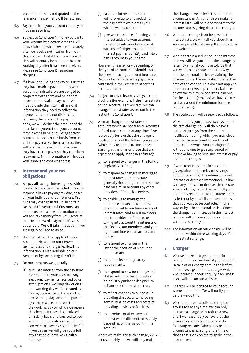account number is not quoted as the reference the payment will be returned.

- 6.5 Payments into your account can only be made in £ sterling.
- 6.6 Subject to Condition 9, money paid into your account by electronic means will be available for withdrawal immediately after we receive notification from our clearing bank that it has been received. This will normally be not later than the working day after it has been received. Please see Condition 12 regarding cheques.
- 6.7 If a bank or building society tells us that they have made a payment into your account by mistake, we are obliged to cooperate with them and help them recover the mistaken payment. We must provide them with all relevant information they need to collect the payment. If you do not dispute us returning the funds to the paying bank, we will deduct the amount of the mistaken payment from your account. If the payer's bank or building society is unable to recover the funds from us and the payer asks them to do so, they will provide all relevant information they have to the payer so they can claim repayment. This information will include your name and contact address.

#### 7 Interest and your tax obligations

- 7.1 We pay all savings interest gross, which means that no tax is deducted. It is your responsibility to pay any tax due, based on your individual circumstances. Tax rules may change in future. In certain cases, HM Revenue and Customs can require us to disclose information about you and take money from your account to be used towards payment of taxes due but unpaid. We will take this action if we are legally obliged to do so.
- 7.2 The interest rate that applies to your account is detailed in our *Current savings rates and charges* leaflet. This information is also available on our website or by contacting the office.
- 7.3 On our accounts we generally:
	- (a) calculate interest from the day funds are credited to your account. Any electronic payments received by us after 8pm on a working day or on a non-working day will be treated as having been received by us on the next working day. Amounts paid in by cheque will earn interest from the working day on which we receive the cheque. Interest is calculated on a daily basis and credited to your account on the date as stated in the *Our range of savings accounts* leaflet. If you ask us we will give you a full explanation of how we calculate interest;
- (b) calculate interest on a sum withdrawn up to and including the day before we process your withdrawal request; and
- (c) give you the choice of having your interest added to your account, transferred into another account with us or (subject to a minimum interest payment of £25) paid into a bank account in your name.

 However, this may vary depending on the type of account. You should check the relevant savings account brochure. Details of when interest is payable is contained in the *Our range of savings accounts* leaflet.

- 7.4 Subject to any relevant savings account brochure (for example, if the interest rate on the account is a fixed rate) we can change interest rates as set out in the rest of this Condition 7.
- 7.5 We may change interest rates on accounts which are not tracker accounts or fixed rate accounts at any time if we reasonably believe that the change is needed for any of the following reasons (which may relate to circumstances existing at the time or those that are expected to apply in the near future):
	- (a) to respond to changes in the Bank of England Base Rate;
	- (b) to respond to changes in mortgage interest rates or interest rates generally (including the interest rates paid on similar accounts by other providers of financial services);
	- (c) to enable us to manage the difference between the interest rates charged to our borrowers and interest rates paid to our investors, or the providers of funds to us, taking into account the interests of the Society, our members, and your rights and interests as an account holder;
	- (d) to respond to changes in the law or the decision of a court or ombudsman;
	- (e) to meet relevant regulatory requirements;
	- (f) to respond to new (or changes to) statements or codes of practice or industry guidance designed to enhance consumer protection;
	- (g) to reflect changes to our costs in providing the account, including administration costs and costs of providing services or facilities;
	- (h) to introduce or alter 'tiers' of interest where different rates apply depending on the amount in the account.

 Where we make any such change, we will act reasonably and we will only make

the change if we believe it is fair in the circumstances. Any change we make to interest rates will be proportionate to the circumstances giving rise to the change.

- 7.6 Where the change is an increase in the interest rate, we will tell you about it as soon as possible following the increase via our website.
- 7.7 Where there is a reduction in the interest rate, we will tell you about the change by letter, by email if you have told us that you want to be contacted in this way, or other personal notice, explaining the change in rate, the new rate and effective date of the change. This does not apply to interest rate tiers applicable to balances below the minimum operating balance for the account (provided we have clearly told you about the minimum balance requirements).
- 7.8 The notification will be provided as follows:

 We will notify you at least 14 days before the rate change. You will then have a period of 30 days from the date of the notification during which you may close or switch your account to another of our accounts which you are eligible for without having to give any period of notice or having to lose any interest or pay additional charges.

- 7.9 If your account is a tracker account (as explained in the relevant savings account brochure), the interest rate will increase or decrease immediately in line with any increase or decrease in the rate which is being tracked. We will tell you about any reductions to the interest rate by letter or by email if you have told us that you want to be contacted in this way, or by other personal notice. Where the change is an increase in the interest rate, we will tell you about it as set out within Condition 7.6.
- 7.10 The information on our website will be updated within three working days of an interest rate change.

#### 8 Charges

- 8.1 We may make charges for items in relation to the operation of your account. Details of our charges are in the leaflet *Current savings rates and charges* which was included in your enquiry pack and is also available on our website.
- 8.2 Charges will be debited to your account where appropriate. We will notify you before we do this.
- 8.3 We can reduce or abolish a charge for any reason at any time. We can only increase a charge or introduce a new one if we reasonably believe that the change is appropriate for any of the following reasons (which may relate to circumstances existing at the time or those that are expected to apply in the near future):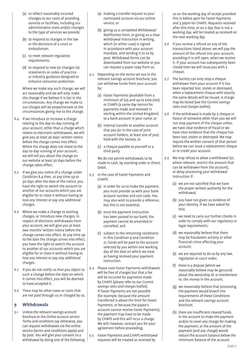- (a) to reflect reasonably incurred changes to our costs of providing services or facilities, including our administrative costs and/or changes to the type of services we provide;
- (b) to respond to changes in the law or the decisions of a court or ombudsman;
- (c) to meet relevant regulatory requirements;
- (d) to respond to new (or changes to) statements or codes of practice or industry guidance designed to enhance consumer protection.

 Where we make any such change, we will act reasonably and we will only make the change if we believe it is fair in the circumstances. Any change we make to our charges will be proportionate to the circumstances giving rise to the change.

- 8.4 If we introduce or increase a charge relating to the day-to-day running of your account, other than a charge which relates to electronic withdrawals, we will give you at least 30 days' written notice before the charge comes into effect. Where the charge does not relate to the day-to-day running of your account, we will tell you about the change on our website at least 30 days before the change takes effect.
- 8.5 If we give you notice of a change under Condition 8.4 then, at any time up to 30 days after the date of the notice, you have the right to switch the account to another of our accounts which you are eligible for or close it without having to lose any interest or pay any additional charges.
- 8.6 Where we make a change to existing charges, or introduce new charges, in respect of electronic withdrawals from your account, we will give you at least two months' written notice before the change comes into effect. At any time up to the date the change comes into effect, you have the right to switch the account to another of our accounts which you are eligible for or close it without having to lose any interest or pay any additional charges.
- 8.7 If you do not notify us that you object to such a change before the date on which it comes into effect, you will be deemed to have accepted it.
- 8.8 There may be other taxes or costs that are not paid through us or charged by us.

#### 9 Withdrawals

9.1 Unless the relevant savings account brochure or the *Online account service: Terms and conditions* say otherwise, you can request withdrawals via the online service (terms and conditions apply) and by post. You will give your consent to a withdrawal by doing one of the following:

- (a) making a transfer request to your nominated account via our online service; or
- (b) giving us a completed *Withdrawal/ Notification Form,* or giving us a clear withdrawal instruction in writing, which (in either case) is signed in accordance with your account mandate, and sending it to us by post. Withdrawal forms can be downloaded from our website or you can request a paper copy from us.
- 9.2 Depending on the terms set out in the relevant savings account brochure, you can withdraw funds from your account by:
	- (a) Faster Payments (available from a minimum of £25 and up to £100,000) or CHAPS (a same day service for payments made and received in sterling within the United Kingdom) to a bank account in your name; or
	- (b) internal transfer to another account that you (or in the case of joint account holders, at least one of you) hold with the Society; or
	- (c) a cheque payable to yourself or a third party.

 We do not permit withdrawals to be made in cash, by standing order or Direct Debit.

- 9.3 In the case of Faster Payments and CHAPS:
	- (a) In order for us to make the payment, you must provide us with your bank account number and sort code. You may also wish to provide a reference, but this is not essential.
	- (b) once the payment instruction has been passed to our bank, the payment cannot be amended or cancelled; and
	- (c) subject to the remaining conditions in this Condition 9 and Condition 21, funds will be paid to the account selected by you within one working day of the date on which we treat as having received your payment instruction.
- 9.4 Please note Faster Payments withdrawals will be free of charges but that a fee will be incurred for payments made by CHAPS (please refer to our *Current savings rates and charges* leaflet). If Faster Payments are not possible (for example, because the amount transferred is above the limit for Faster Payments, or because the payee's account cannot receive Faster Payments), the payment may have to be made by CHAPS and this will incur a charge. We will; however, contact you for your agreement before proceeding.
- 9.5 Faster Payments and CHAPS withdrawal requests will be treated as received by

us on the working day of receipt provided this is before 4pm for Faster Payments and 3.30pm for CHAPS. Requests received after this time, or on a day that is not a working day, will be treated as received on the next working day.

- 9.6 If you receive a refund on any of the transactions listed above, we will pay the amount of the refund into your account, providing it is still open, when we receive it. If your account has subsequently been closed then we will issue you with a cheque.
- 9.7 The Society can only stop a cheque withdrawn from your account if it has been reported lost, stolen or destroyed, when a replacement cheque with exactly the same details will be issued. A charge may be levied (see the *Current savings rates and charges* leaflet).
- 9.8 If the withdrawal is made by a cheque in favour of someone other than you we will not stop payment of the cheque unless we have clear evidence of fraud or we have clear evidence that the cheque has been lost, stolen or destroyed. We may require the written consent of that person before we can issue a replacement cheque or re-credit your account.
- 9.9 We may refuse to allow a withdrawal (or, where relevant, restrict the amount that can be withdrawn from the account), or delay processing your withdrawal instruction if:
	- (a) we are not satisfied that we have the proper written authority for the withdrawal;
	- (b) you have not given us evidence of your identity, if we have asked for this;
	- (c) we need to carry out further checks in order to comply with our regulatory or legal requirements;
	- (d) we reasonably believe that there may be fraudulent activity or other financial crime affecting your account;
	- (e) we are required to do so by any law, regulation or court order;
	- (f) there is a dispute (which we reasonably believe may be genuine) about the ownership of, or entitlement to, the money in the account;
	- (g) we reasonably believe that processing the payment would breach the requirements of these Conditions and the relevant savings account brochure;
	- (h) there are insufficient cleared funds in the account to make the payment and/or to cover any charge for making the payment, or the amount of the payment (and any charge) would reduce the account balance below the minimum balance of the account;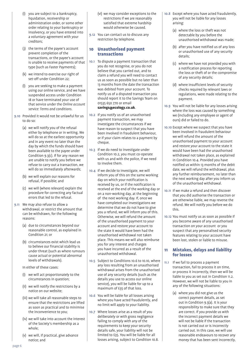- (i) you are subject to a bankruptcy, liquidation, receivership or administration order, or some other order relating to your bankruptcy or insolvency, or you have entered into a voluntary agreement with your creditors;
- (j) the terms of the payee's account prevent completion of the transactions, or the payee's account is unable to receive payments of that type (such as Faster Payments);
- (k) we intend to exercise our right of set-off under Condition 22;
- (l) you are seeking to make a payment using our online service, and we have suspended access under Condition 18 or have terminated your use of that service under the *Online account service: Terms and conditions.*
- 9.10 Provided it would not be unlawful for us to do so:
	- (a) we will notify you of the refusal either by telephone or in writing. We will do so at the earliest opportunity and in any event no later than the day by which the funds should have been available to the payee under Condition 9.3(c). If for any reason we are unable to notify you before we refuse to carry out a transaction, we will do so immediately afterwards;
	- (b) we will explain our reasons for refusal, if possible; and
	- (c) we will (where relevant) explain the procedure for correcting any factual errors that led to the refusal.
- 9.11 We may also refuse to allow a withdrawal, or restrict the amount that can be withdrawn, for the following reasons:
	- (a) due to circumstances beyond our reasonable control, as explained in Condition 21; or
	- (b) circumstances exist which lead us to believe our financial stability is under threat (such as where rumours cause actual or potential abnormal levels of withdrawals).

In either of these cases:

- (i) we will act proportionately to the circumstances in question;
- (ii) we will notify the restrictions by a notice on our website;
- (iii) we will take all reasonable steps to ensure that the restrictions are lifted as soon as practical and to minimise the inconvenience to you;
- (iv) we will take into account the interest of the Society's membership as a whole;
- (v) we will, if practical, give advance notice; and
- (vi) we may consider exceptions to the restrictions if we are reasonably satisfied that extreme hardship would otherwise be caused.
- 9.12 You can contact us to discuss any restriction by telephone.

#### 10 Unauthorised payment transactions

- 10.1 To dispute a payment transaction that you do not recognise, or you do not believe that you carried out, and to claim a refund you will need to contact us as soon as possible but no later than 13 months from the date the transaction was debited from your account. To notify us of a disputed transaction you should report it to the Savings Team on 01535 650 770 or email **savings@ecology.co.uk**.
- 10.2 If you notify us of an unauthorised payment transaction, we may investigate the circumstances if we have reason to suspect that you have been involved in fraudulent behaviour, or if your claim relates to a payment by cheque.
- 10.3 If we do need to investigate under Condition 10.2, you must co-operate with us and with the police, if we need to involve them.
- 10.4 If we decide to investigate, we will inform you of this on the same working day on which your notification is received by us, or if the notification is received at the end of the working day or on a non-working day, at the beginning of the next working day. If, once we have completed our investigations we determine that we do not have to give you a refund, we will inform you of this. Otherwise, we will refund the amount of the unauthorised payment to your account and restore your account to the state it would have been had the unauthorised withdrawal not taken place. This means we will also reimburse you for any interest and charges you have incurred as a result of the unauthorised withdrawal.
- 10.5 Subject to Conditions 10.6 to 10.10, where any loss resulting from an unauthorised withdrawal arises from the unauthorised use of any security details (such as the details you use to access our online service), you will be liable for up to a maximum of £35 of that loss.
- 10.6 You will be liable for all losses arising where you have acted fraudulently, and no limit will apply to your liability.
- 10.7 Where losses arise as a result of you deliberately or with gross negligence failing to comply with any of the requirements to keep your security details safe, your liability will not be limited to £35. You will be liable for all losses arising, subject to Condition 10.8.
- 10.8 Except where you have acted fraudulently, you will not be liable for any losses arising:
	- (a) where the loss or theft was not detectable by you before the unauthorised withdrawal was made;
	- (b) after you have notified us of any loss or unauthorised use of any security details;
	- (c) where we have not provided you with a notification process for reporting the loss or theft of or the compromise of any security details;
	- (d) where insufficient levels of security checks required by relevant laws or regulations, were made relating to the payment.
- 10.9 You will not be liable for any losses arising where the loss was caused by something we (including any employee or agent of ours) did or failed to do.
- 10.10 Except where we suspect that you have been involved in fraudulent behaviour we will refund the amount of the unauthorised payment to your account and restore your account to the state it would have been had the unauthorised withdrawal not taken place, as explained in Condition 10.4. Provided you have notified us within 13 months of the debit date, we will refund the withdrawal, plus any further reimbursement, no later than the next working day after you inform us of the unauthorised withdrawal.
- 10.11 If we make a refund and then discover that you did authorise the transaction or are otherwise liable, we may reverse the refund. We will notify you before we do this.
- 10.12 You must notify us as soon as possible if you become aware of any unauthorised transaction on your account or you suspect that any personalised security features relating to your account have been lost, stolen or liable to misuse.

#### 11 Mistakes, delays and liability for losses

- 11.1 If we fail to process a payment transaction, fail to process it on time, or process it incorrectly, then we will be liable to you as set out in Condition 11.2. However, we will not be liable to you in any of the following situations:
	- (a) where you did not give us the correct payment details, as set out in Condition 9.3(a). It is your responsibility to make sure that they are correct. If you provide us with the incorrect payment details we will not be liable if the transaction is not carried out or is incorrectly carried out. In this case, we will use reasonable endeavours to recover any money that has been sent incorrectly,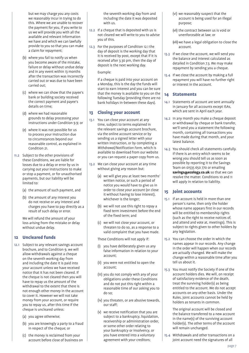but we may charge you any costs we reasonably incur in trying to do this. Where we are unable to recover the payment for you, if you write to us we will provide you with all the available and relevant information we have and which we can lawfully provide to you so that you can make a claim for repayment;

- (b) where you fail to notify us when you become aware of the mistake, failure or delay without undue delay and in any event within 13 months after the transaction was incorrectly carried out or was due to have been carried out;
- (c) where we can show that the payee's bank or building society received the correct payment and payee's details on time;
- (d) where we had reasonable grounds to delay processing your instructions under Condition 9.9; or
- (e) where it was not possible for us to process your instruction due to circumstances beyond our reasonable control, as explained in Condition 21.
- 11.2 Subject to the other provisions of these Conditions, we are liable for losses due to a delay or error by us in carrying out your instructions to make or stop a payment, or for unauthorised payments, but our liability will be limited to:
	- (a) the amount of such payment, and
	- (b) the amount of any interest you do not receive or any interest and charges you have to pay directly as a result of such delay or error.

 We will refund the amount of your loss arising from the mistake or delay without undue delay.

#### 12 Uncleared funds

- 12.1 Subject to any relevant savings account brochure, and to Condition 9, we will allow withdrawals against a cheque on the seventh working day from and including the date it is paid into your account unless we have received notice that it has not been cleared. If the cheque is not cleared then you will have to repay us the amount of the withdrawal to the extent that there is not enough other money in the account to cover it. However we will not take money from your account, or require you to repay us, after this time if the cheque is uncleared unless:
	- (a) you agree otherwise;
	- (b) you are knowingly a party to a fraud in respect of the cheque; or
	- (c) the money is reclaimed from your account before close of business on

the seventh working day from and including the date it was deposited with us.

- 12.2 If a cheque that is deposited with us is not cleared we will write to you to advise you of this.
- 12.3 For the purposes of Condition 12.1 the day of deposit is the working day that it is received by post, except that if it is received after 3.30 pm, then the day of deposit is the next working day.

#### Example:

 If a cheque is paid into your account on a Monday, this is the day the funds will start to earn interest and you can be sure that the money is available to you on the following Tuesday (providing there are no bank holidays in-between these days).

#### 13 Closing your account

- 13.1 You can close your account at any time, subject to terms explained in the relevant savings account brochure, via the online account service or by sending us a signed letter with your written instruction, or by completing a *Withdrawal/Notification Form,* which is available to download from our website or you can request a paper copy from us.
- 13.2 We can close your account at any time without giving any reason but:
	- (a) we will give you at least two months' written notice, or such a period of notice you would have to give us in order to close your account (or close it without having to lose interest), whichever is the longer;
	- (b) we will not use this right to repay a fixed term investment before the end of the fixed term; and
	- (c) we will not close your account, or threaten to do so, as a response to a valid complaint that you have made.

These Conditions will not apply if:

- you have deliberately given us any false information in relation to your account;
- (ii) you were not entitled to open the account;
- (iii) you do not comply with any of your obligations under these Conditions and do not put this right within a reasonable time of our asking you to do so;
- (iv) you threaten, or are abusive towards, our staff;
- (v) we receive notification that you are subject to a bankruptcy, liquidation, receivership or administration order, or some other order relating to your bankruptcy or insolvency, or you have entered into a voluntary agreement with your creditors;
- (vi) we reasonably suspect that the account is being used for an illegal purpose;
- (vii) the contract between us is void or unenforceable at law; or
- (viii) we have a legal obligation to close the account.
- 13.3 If we close the account, we will send you the balance and interest calculated as detailed in Condition 7.3. We may make repayment by sending you a cheque.
- 13.4 If we close the account by making a full repayment you will have no further right or interest in the account.

#### 14 Statements

- 14.1 Statements of account are sent annually in January for all accounts except ISAs, which are sent in April each year.
- 14.2 In any month you make a cheque deposit or withdrawal by cheque or bank transfer, we'll send you a statement the following month, containing all transactions you have made during that month, and your latest balance.
- 14.3 You should check all statements carefully. If there is an entry which seems to be wrong you should tell us as soon as possible by reporting it to the Savings Team on 01535 650 770 or emailing savings@ecology.co.uk so that we can resolve the matter. Conditions 10 and 11 will apply in relation to liability.

#### 15 Joint accounts

- 15.1 If an account is held in more than one person's name, then only the holder whose name appears first in our records will be entitled to membership rights (such as the right to receive notices of, and attend and vote at, meetings). This is subject to rights given to other holders by any legislation.
- 15.2 You can choose the order in which the names appear in our records. Any change in the order will happen when our records are actually changed. We will make the change within a reasonable time after you tell us about it.
- 15.3 You must notify the Society if one of the account holders dies. We will, on receipt of satisfactory evidence of the death, treat the surviving holder(s) as being entitled to the account. We do not accept accounts on any other basis. Under the Rules, joint accounts cannot be held by holders as tenants in common.

 The original account will be closed and the balance transferred to a new account in the name(s) of the surviving account holder(s). The other terms of the account will remain unchanged.

15.4 Withdrawals and other transactions on a joint account need the signatures of all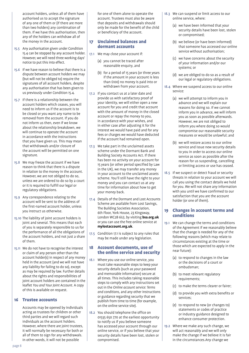account holders, unless all of them have authorised us to accept the signature of any one of them or (if there are more than two holders) any combination of them. If we have this authorisation, then any of the holders can withdraw all of the money in the account.

- 15.5 Any authorisation given under Condition 15.4 can be stopped by any account holder. However, we will need three working days' notice to put this into effect.
- 15.6 If we have reason to believe that there is a dispute between account holders we may (but will not be obliged to) require the signatures of all account holders, despite any authorisation that has been given to us previously under Condition 15.4.
- 15.7 If there is a relationship between the account holders which ceases, you will need to inform us if the account is to be closed or you want any name to be removed from the account. If you do not inform us then, even if we know about the relationship breakdown, we will continue to operate the account in accordance with the instructions that you have given us. This may mean that withdrawals and/or closure of the account will be permitted on one signature.
- 15.8 We may freeze the account if we have reason to think that there is a dispute in relation to the money in the account. However, we are not obliged to do so, unless we are ordered to do so by a court or it is required to fulfill our legal or regulatory obligations.
- 15.9 Any correspondence relating to the account will be sent to the address of the first-named account holder, unless you instruct us otherwise.
- 15.10 The liability of joint account holders is joint and several. This means that each of you is separately responsible to us for the performance of all the obligations of the account holders, and not just a share of them.
- 15.11 We do not have to recognise the interest or claim of any person other than the account holder(s) in respect of any money held in the account (and we will not have any liability for failing to do so), except as may be required by law. Further details about the rights and responsibilities of joint account holders are contained in the leaflet *You and Your Joint Account.* A copy of this is available on request.

#### 16 Trustee accounts

Accounts may be opened by individuals acting as trustees for children or other third parties and we will regard such individuals as the account holders. However, where there are joint trustees, it will normally be necessary for both or all of them to sign for any withdrawals. In other words, it will not be possible

for one of them alone to operate the account. Trustees must also be aware that deposits and withdrawals should only be made for the benefit of the child or beneficiary of the account.

#### 17 Unclaimed balances and dormant accounts

- 17.1 We may close your account if:
	- (a) you cannot be traced after reasonable enquiry, and
	- (b) for a period of 15 years (or three years if the amount in your account is less than £100) no money is paid into or withdrawn from your account.
- 17.2 If you contact us at a later date and provide us with satisfactory proof of your identity, we will either open a new account for you and credit that account with the amount of money in the closed account or repay the money to you, in accordance with your wishes, and in either case after adjusting it for the interest we would have paid and for any fees or charges we would have deducted if the account had remained open.
- 17.3 We take part in the unclaimed assets scheme under the Dormant Bank and Building Society Accounts Act. If there has been no activity on your account for 15 years (or other period specified by Law in the UK), we may transfer any money in your account to the unclaimed assets scheme. You'll still have the right to your money and you can contact us at any time for information about how to get your money back.
- 17.4 Details of the Dormant and Lost Accounts Scheme are available from Lost Savings, The Building Societies Association, 6th Floor, York House, 23 Kingsway, London WC2B 6UJ, by visiting **bsa.org.uk** or you can use the free online service at **mylostaccount.org.uk**.
- 17.5 Condition 17.1 is subject to any rules that may be made under any legislation.

#### 18 Account documents, use of the online service and security

- 18.1 Where you use our online service, you must take reasonable steps to keep your security details (such as your password and memorable information) secure at all times. This includes taking reasonable steps to comply with any instructions set out in the *Online account service: Terms and conditions,* and any other instructions or guidance regarding security that we publish from time to time (for example, on the online service site).
- 18.2 You should telephone the office on 01535 650 770 at the earliest opportunity to notify us if you believe someone has accessed your account through our online service, or if you believe that your security details have been lost, stolen or compromised.
- 18.3 We can suspend or limit access to our online service, where:
	- (a) we have been informed that your security details have been lost, stolen or compromised;
	- (b) we believe (or have been informed) that someone has accessed our online service without authorisation;
	- (c) we have concerns about the security of your information and/or our systems; or
	- (d) we are obliged to do so as a result of our legal or regulatory obligations.
- 18.4 Where we suspend access to our online service:
	- (a) we will attempt to inform you in advance and we will explain our reasons for doing so. If we cannot inform you in advance, we will inform you as soon as possible afterwards. However, we are not obliged to inform you where doing so would compromise our reasonable security measures or would be unlawful; and
	- (b) we will restore access to our online service and issue new security details to you in order to access our online service as soon as possible after the reason for us suspending, cancelling or limiting access or use has ceased.
- 18.5 If we suspect or detect fraud or security threats in relation to your account we will call you using the contact details we hold for you. We will not share any information with you until we have confirmed to our satisfaction that you are the account holder (or one of them).

#### 19 Changes in account terms and conditions

- 19.1 We can change the terms and conditions of the Agreement if we reasonably believe that the change is needed for any of the following reasons (which may relate to circumstances existing at the time or those which are expected to apply in the near future):
	- (a) to respond to changes in the law or the decisions of a court or ombudsman;
	- (b) to meet relevant regulatory requirements;
	- (c) to make the terms clearer or fairer;
	- (d) to provide you with extra benefits or services;
	- (e) to respond to new (or changes to) statements or codes of practice or industry guidance designed to enhance consumer protection.
- 19.2 Where we make any such change, we will act reasonably and we will only make the change if we believe it is fair in the circumstances.Any change we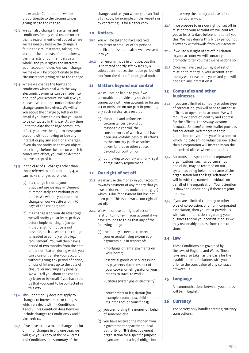make under Condition 19.1 will be proportionate to the circumstances giving rise to the change.

- 19.3 We can also change these terms and conditions for any valid reason (other than a reason mentioned above) where we reasonably believe the change is fair in the circumstances, taking into account the interests of our business, the interests of our members as a whole, and your rights and interests as an account holder. Any such change we make will be proportionate to the circumstances giving rise to the change.
- 19.4 Where we change the terms and conditions which deal with the way electronic payments can be made into or out of your account, we will give you at least two months' notice before the change comes into effect. We will tell you about the change by letter or by email if you have told us that you want to be contacted in this way. At any time up to the date the change comes into effect, you have the right to close your account without having to lose any interest or pay any additional charges. If you do not notify us that you object to a change before the date on which it comes into effect, you will be deemed to have accepted it.
- 19.5 In the case of all changes other than those referred to in Condition 19.4, we can make changes as follows:
	- (a) if a change is not to your disadvantage we may implement it immediately and without prior notice. We will tell you about the change on our website within 30 days of the change; and
	- (b) if a change is to your disadvantage we will notify you at least 30 days before implementing it (except if that length of notice is not possible, such as where the change is needed to comply with a legal requirement). You will then have a period of two months from the date of the notification during which you can close or transfer your account without giving any period of notice, or loss of interest up to the date of closure, or incurring any penalty. We will tell you about the change by letter or by email if you have told us that you want to be contacted in this way.
- 19.6 This Condition 19 does not apply to changes to interest rates or charges, which are dealt with in Conditions 7 and 8. This Condition does however include changes to Conditions 7 and 8 themselves.
- 19.7 If we have made a major change or a lot of minor changes in any one year, we will give you a copy of the new Terms and Conditions or a summary of the

changes and tell you where you can find a full copy, for example on the website or by contacting us for a paper copy.

#### 20 Notices

- 20.1 You will be taken to have received any letter or email or other personal notification 72 hours after we have sent it to you.
- 20.2 If an error is made in a notice, but this is corrected shortly afterwards by a subsequent notice, the notice period will run from the date of the original notice.

#### 21 Matters beyond our control

 We will not be liable to you if we are unable to provide any service in connection with your account, or for any act or omission on our part in providing any such service, as a result of:

- (a) abnormal and unforeseeable circumstances beyond our reasonable control, the consequences of which would have been unavoidable despite all efforts to the contrary (such as strikes, power failures or other causes beyond our control); or
- (b) our having to comply with any legal or regulatory requirement.

## 22 Our right of set off

- 22.1 We may use the money in your account towards payment of any money that you owe us (for example, under a mortgage) which is due for payment but has not been paid. This is known as our right of set off.
- 22.2 We will not use our right of set off in relation to money in your account if we have grounds to think that any of the following apply:
	- (a) the money is needed to meet your essential living expenses or payments due in respect of:
		- mortgage or rental payments on your home;
		- essential goods or services (such as payments due in respect of your cooker or refrigerator or your means to travel to work);
		- utilities (water, gas or electricity); or
		- court orders or legislation (for example, council tax, child support maintenance or court fines);
	- (b) you are holding the money on behalf of someone else;
	- (c) you have received the money from a government department, local authority or NHS direct payment organisation for a specific purpose, or you are under a legal obligation

to keep the money and use it in a particular way.

- 22.3 If we propose to use our right of set off in relation to your account we will contact you at least 14 days beforehand to tell you this. We may during this 14 day period not allow any withdrawals from your account.
- 22.4 If we use our right of set off in relation to your account we will contact you promptly to tell you that we have done so.
- 22.5 Once we have used our right of set off in relation to money in your account, that money will cease to be yours and you will not earn any interest on it.

#### 23 Companies and other businesses

- 23.1 If you are a limited company or other type of corporation, you will need to authorise officers to operate the account. We will require evidence of identity and address for the officers. The *Savings account identification requirements* leaflet provides further details. References in these Conditions to "you" or "your" in a context which indicate an individual person rather than a corporation will instead mean the authorised officer where appropriate.
- 23.2 Accounts in respect of unincorporated organisations, such as partnerships and clubs, may be recorded on our system as being held in the name of the organisation but the legal relationship will be with the named individuals on behalf of the organisation. Your attention is drawn to Condition 15 if there are joint holders.
- 23.3 If you are a limited company or other type of corporation, or an unincorporated association, then you must provide us with such information regarding your business and/or your constitution as we may reasonably request from time to time.

#### 24 Law

These Conditions are governed by the laws of England and Wales. Those laws are also taken as the basis for the establishment of relations with you prior to the conclusion of any contract between us.

#### 25 Language

All communications between you and us will be in English.

#### 26 Currency

The Society only handles sterling currency transactions.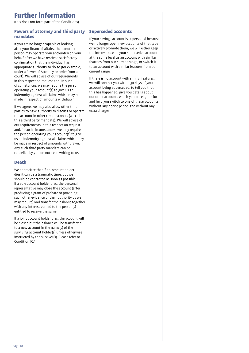# Further information

(this does not form part of the Conditions)

#### Powers of attorney and third party mandates

If you are no longer capable of looking after your financial affairs, then another person may operate your account(s) on your behalf after we have received satisfactory confirmation that the individual has appropriate authority to do so (for example, under a Power of Attorney or order from a court). We will advise of our requirements in this respect on request and, in such circumstances, we may require the person operating your account(s) to give us an indemnity against all claims which may be made in respect of amounts withdrawn.

If we agree, we may also allow other third parties to have authority to discuss or operate the account in other circumstances (we call this a third party mandate). We will advise of our requirements in this respect on request and, in such circumstances, we may require the person operating your account(s) to give us an indemnity against all claims which may be made in respect of amounts withdrawn. Any such third party mandate can be cancelled by you on notice in writing to us.

#### Death

We appreciate that if an account holder dies it can be a traumatic time, but we should be contacted as soon as possible. If a sole account holder dies, the personal representative may close the account (after producing a grant of probate or providing such other evidence of their authority as we may require) and transfer the balance together with any interest earned to the person(s) entitled to receive the same.

If a joint account holder dies, the account will be closed but the balance will be transferred to a new account in the name(s) of the surviving account holder(s) unless otherwise instructed by the survivor(s). Please refer to Condition 15.3.

#### Superseded accounts

If your savings account is superseded because we no longer open new accounts of that type or actively promote them, we will either keep the interest rate on your superseded account at the same level as an account with similar features from our current range, or switch it to an account with similar features from our current range.

If there is no account with similar features, we will contact you within 30 days of your account being superseded, to tell you that this has happened, give you details about our other accounts which you are eligible for and help you switch to one of these accounts without any notice period and without any extra charges.